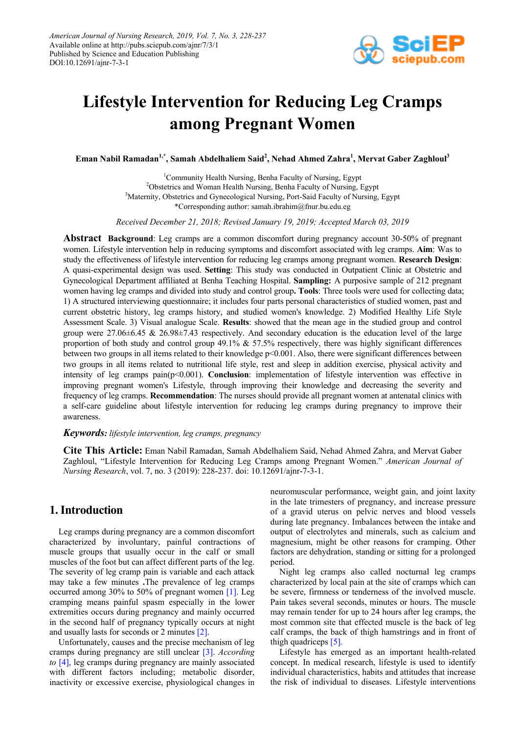

# **Lifestyle Intervention for Reducing Leg Cramps among Pregnant Women**

**Eman Nabil Ramadan1,\*, Samah Abdelhaliem Said2 , Nehad Ahmed Zahra<sup>1</sup> , Mervat Gaber Zaghloul3**

1 Community Health Nursing, Benha Faculty of Nursing, Egypt <sup>2</sup>Obstetrics and Woman Health Nursing, Benha Faculty of Nursing, Egypt <sup>3</sup>Maternity, Obstetrics and Gynecological Nursing, Port-Said Faculty of Nursing, Egypt \*Corresponding author: samah.ibrahim@fnur.bu.edu.eg

*Received December 21, 2018; Revised January 19, 2019; Accepted March 03, 2019*

**Abstract Background**: Leg cramps are a common discomfort during pregnancy account 30-50% of pregnant women. Lifestyle intervention help in reducing symptoms and discomfort associated with leg cramps. **Aim**: Was to study the effectiveness of lifestyle intervention for reducing leg cramps among pregnant women. **Research Design**: A quasi-experimental design was used. **Setting**: This study was conducted in Outpatient Clinic at Obstetric and Gynecological Department affiliated at Benha Teaching Hospital. **Sampling:** A purposive sample of 212 pregnant women having leg cramps and divided into study and control group**. Tools**: Three tools were used for collecting data; 1) A structured interviewing questionnaire; it includes four parts personal characteristics of studied women, past and current obstetric history, leg cramps history, and studied women's knowledge. 2) Modified Healthy Life Style Assessment Scale. 3) Visual analogue Scale. **Results**: showed that the mean age in the studied group and control group were 27.06±6.45 & 26.98±7.43 respectively. And secondary education is the education level of the large proportion of both study and control group 49.1%  $\&$  57.5% respectively, there was highly significant differences between two groups in all items related to their knowledge  $p<0.001$ . Also, there were significant differences between two groups in all items related to nutritional life style, rest and sleep in addition exercise, physical activity and intensity of leg cramps pain(p<0.001). **Conclusion**: implementation of lifestyle intervention was effective in improving pregnant women's Lifestyle, through improving their knowledge and decreasing the severity and frequency of leg cramps. **Recommendation**: The nurses should provide all pregnant women at antenatal clinics with a self-care guideline about lifestyle intervention for reducing leg cramps during pregnancy to improve their awareness.

# *Keywords: lifestyle intervention, leg cramps, pregnancy*

**Cite This Article:** Eman Nabil Ramadan, Samah Abdelhaliem Said, Nehad Ahmed Zahra, and Mervat Gaber Zaghloul, "Lifestyle Intervention for Reducing Leg Cramps among Pregnant Women." *American Journal of Nursing Research*, vol. 7, no. 3 (2019): 228-237. doi: 10.12691/ajnr-7-3-1.

# **1. Introduction**

Leg cramps during pregnancy are a common discomfort characterized by involuntary, painful contractions of muscle groups that usually occur in the calf or small muscles of the foot but can affect different parts of the leg. The severity of leg cramp pain is variable and each attack may take a few minutes **.**The prevalence of leg cramps occurred among 30% to 50% of pregnant women [\[1\].](#page-8-0) Leg cramping means painful spasm especially in the lower extremities occurs during pregnancy and mainly occurred in the second half of pregnancy typically occurs at night and usually lasts for seconds or 2 minutes [\[2\].](#page-8-1)

Unfortunately, causes and the precise mechanism of leg cramps during pregnancy are still unclear [\[3\].](#page-8-2) *According to* [\[4\],](#page-8-3) leg cramps during pregnancy are mainly associated with different factors including; metabolic disorder, inactivity or excessive exercise, physiological changes in neuromuscular performance, weight gain, and joint laxity in the late trimesters of pregnancy, and increase pressure of a gravid uterus on pelvic nerves and blood vessels during late pregnancy. Imbalances between the intake and output of electrolytes and minerals, such as calcium and magnesium, might be other reasons for cramping. Other factors are dehydration, standing or sitting for a prolonged period.

Night leg cramps also called nocturnal leg cramps characterized by local pain at the site of cramps which can be severe, firmness or tenderness of the involved muscle. Pain takes several seconds, minutes or hours. The muscle may remain tender for up to 24 hours after leg cramps, the most common site that effected muscle is the back of leg calf cramps, the back of thigh hamstrings and in front of thigh quadriceps [\[5\]](#page-8-4)*.*

Lifestyle has emerged as an important health-related concept. In medical research, lifestyle is used to identify individual characteristics, habits and attitudes that increase the risk of individual to diseases. Lifestyle interventions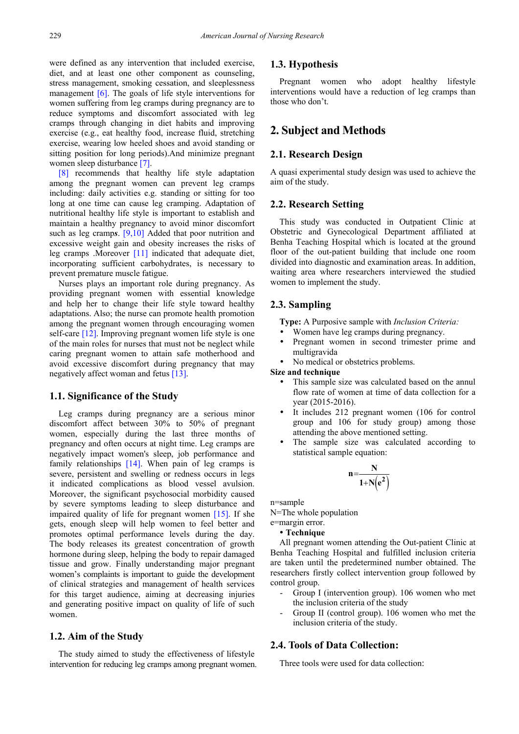were defined as any intervention that included exercise, diet, and at least one other component as counseling, stress management, smoking cessation, and sleeplessness management  $[6]$ . The goals of life style interventions for women suffering from leg cramps during pregnancy are to reduce symptoms and discomfort associated with leg cramps through changing in diet habits and improving exercise (e.g., eat healthy food, increase fluid, stretching exercise, wearing low heeled shoes and avoid standing or sitting position for long periods).And minimize pregnant women sleep disturbance [\[7\].](#page-9-1)

[\[8\]](#page-9-2) recommends that healthy life style adaptation among the pregnant women can prevent leg cramps including: daily activities e.g. standing or sitting for too long at one time can cause leg cramping. Adaptation of nutritional healthy life style is important to establish and maintain a healthy pregnancy to avoid minor discomfort such as leg cramp*s*. [\[9,10\]](#page-9-3) Added that poor nutrition and excessive weight gain and obesity increases the risks of leg cramps .Moreover [\[11\]](#page-9-4) indicated that adequate diet, incorporating sufficient carbohydrates, is necessary to prevent premature muscle fatigue.

Nurses plays an important role during pregnancy. As providing pregnant women with essential knowledge and help her to change their life style toward healthy adaptations. Also; the nurse can promote health promotion among the pregnant women through encouraging women self-care [\[12\].](#page-9-5) Improving pregnant women life style is one of the main roles for nurses that must not be neglect while caring pregnant women to attain safe motherhood and avoid excessive discomfort during pregnancy that may negatively affect woman and fetus [\[13\].](#page-9-6)

### **1.1. Significance of the Study**

Leg cramps during pregnancy are a serious minor discomfort affect between 30% to 50% of pregnant women, especially during the last three months of pregnancy and often occurs at night time. Leg cramps are negatively impact women's sleep, job performance and family relationships [\[14\].](#page-9-7) When pain of leg cramps is severe, persistent and swelling or redness occurs in legs it indicated complications as blood vessel avulsion. Moreover, the significant psychosocial morbidity caused by severe symptoms leading to sleep disturbance and impaired quality of life for pregnant women [\[15\].](#page-9-8) If she gets, enough sleep will help women to feel better and promotes optimal performance levels during the day. The body releases its greatest concentration of growth hormone during sleep, helping the body to repair damaged tissue and grow. Finally understanding major pregnant women's complaints is important to guide the development of clinical strategies and management of health services for this target audience, aiming at decreasing injuries and generating positive impact on quality of life of such women.

### **1.2. Aim of the Study**

The study aimed to study the effectiveness of lifestyle intervention for reducing leg cramps among pregnant women.

# **1.3. Hypothesis**

Pregnant women who adopt healthy lifestyle interventions would have a reduction of leg cramps than those who don't.

# **2. Subject and Methods**

# **2.1. Research Design**

A quasi experimental study design was used to achieve the aim of the study.

# **2.2. Research Setting**

This study was conducted in Outpatient Clinic at Obstetric and Gynecological Department affiliated at Benha Teaching Hospital which is located at the ground floor of the out-patient building that include one room divided into diagnostic and examination areas. In addition, waiting area where researchers interviewed the studied women to implement the study.

### **2.3. Sampling**

**Type:** A Purposive sample with *Inclusion Criteria:*

- Women have leg cramps during pregnancy.
- Pregnant women in second trimester prime and multigravida
- No medical or obstetrics problems.

#### **Size and technique**

- This sample size was calculated based on the annul flow rate of women at time of data collection for a year (2015-2016).
- It includes 212 pregnant women (106 for control group and 106 for study group) among those attending the above mentioned setting.
- The sample size was calculated according to statistical sample equation:

$$
n\!=\!\!\frac{N}{1\!+\!N\!\!\left(e^2\right)}
$$

n=sample

N=The whole population e=margin error.

### **Technique**

All pregnant women attending the Out-patient Clinic at Benha Teaching Hospital and fulfilled inclusion criteria are taken until the predetermined number obtained. The researchers firstly collect intervention group followed by control group.

- Group I (intervention group). 106 women who met the inclusion criteria of the study
- Group II (control group). 106 women who met the inclusion criteria of the study.

### **2.4. Tools of Data Collection:**

Three tools were used for data collection: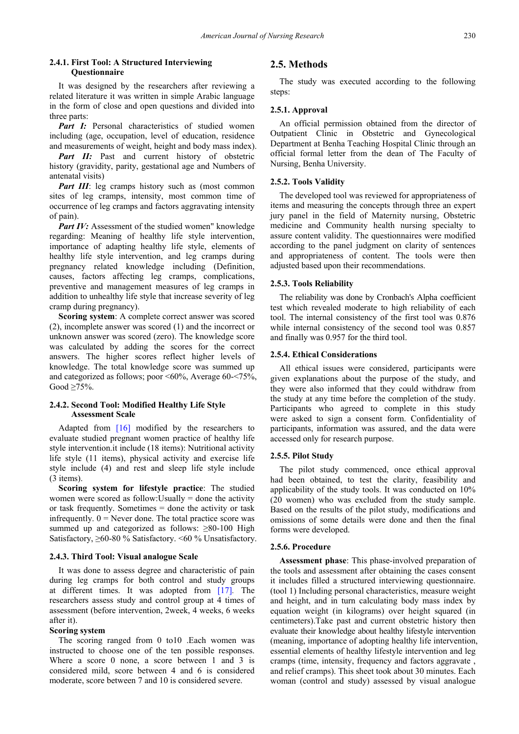#### **2.4.1. First Tool: A Structured Interviewing Questionnaire**

It was designed by the researchers after reviewing a related literature it was written in simple Arabic language in the form of close and open questions and divided into three parts:

Part I: Personal characteristics of studied women including (age, occupation, level of education, residence and measurements of weight, height and body mass index).

*Part II:* Past and current history of obstetric history (gravidity, parity, gestational age and Numbers of antenatal visits)

*Part III*: leg cramps history such as (most common sites of leg cramps, intensity, most common time of occurrence of leg cramps and factors aggravating intensity of pain).

*Part IV:* Assessment of the studied women" knowledge regarding: Meaning of healthy life style intervention, importance of adapting healthy life style, elements of healthy life style intervention, and leg cramps during pregnancy related knowledge including (Definition, causes, factors affecting leg cramps, complications, preventive and management measures of leg cramps in addition to unhealthy life style that increase severity of leg cramp during pregnancy).

**Scoring system**: A complete correct answer was scored (2), incomplete answer was scored (1) and the incorrect or unknown answer was scored (zero). The knowledge score was calculated by adding the scores for the correct answers. The higher scores reflect higher levels of knowledge. The total knowledge score was summed up and categorized as follows; poor  $\leq 60\%$ , Average 60- $\leq 75\%$ , Good  $\geq 75\%$ .

#### **2.4.2. Second Tool: Modified Healthy Life Style Assessment Scale**

Adapted from [\[16\]](#page-9-9) modified by the researchers to evaluate studied pregnant women practice of healthy life style intervention.it include (18 items): Nutritional activity life style (11 items), physical activity and exercise life style include (4) and rest and sleep life style include (3 items).

**Scoring system for lifestyle practice**: The studied women were scored as follow:Usually = done the activity or task frequently. Sometimes = done the activity or task infrequently.  $0 =$  Never done. The total practice score was summed up and categorized as follows: ≥80-100 High Satisfactory, ≥60-80 % Satisfactory. <60 % Unsatisfactory.

#### **2.4.3. Third Tool: Visual analogue Scale**

It was done to assess degree and characteristic of pain during leg cramps for both control and study groups at different times. It was adopted from [\[17\]](#page-9-10)*.* The researchers assess study and control group at 4 times of assessment (before intervention, 2week, 4 weeks, 6 weeks after it).

#### **Scoring system**

The scoring ranged from 0 to10 .Each women was instructed to choose one of the ten possible responses. Where a score 0 none, a score between 1 and 3 is considered mild, score between 4 and 6 is considered moderate, score between 7 and 10 is considered severe.

### **2.5. Methods**

The study was executed according to the following steps:

#### **2.5.1. Approval**

An official permission obtained from the director of Outpatient Clinic in Obstetric and Gynecological Department at Benha Teaching Hospital Clinic through an official formal letter from the dean of The Faculty of Nursing, Benha University.

#### **2.5.2. Tools Validity**

The developed tool was reviewed for appropriateness of items and measuring the concepts through three an expert jury panel in the field of Maternity nursing, Obstetric medicine and Community health nursing specialty to assure content validity. The questionnaires were modified according to the panel judgment on clarity of sentences and appropriateness of content. The tools were then adjusted based upon their recommendations.

#### **2.5.3. Tools Reliability**

The reliability was done by Cronbach's Alpha coefficient test which revealed moderate to high reliability of each tool. The internal consistency of the first tool was 0.876 while internal consistency of the second tool was 0.857 and finally was 0.957 for the third tool.

#### **2.5.4. Ethical Considerations**

All ethical issues were considered, participants were given explanations about the purpose of the study, and they were also informed that they could withdraw from the study at any time before the completion of the study. Participants who agreed to complete in this study were asked to sign a consent form. Confidentiality of participants, information was assured, and the data were accessed only for research purpose.

#### **2.5.5. Pilot Study**

The pilot study commenced, once ethical approval had been obtained, to test the clarity, feasibility and applicability of the study tools. It was conducted on 10% (20 women) who was excluded from the study sample. Based on the results of the pilot study, modifications and omissions of some details were done and then the final forms were developed.

#### **2.5.6. Procedure**

**Assessment phase**: This phase-involved preparation of the tools and assessment after obtaining the cases consent it includes filled a structured interviewing questionnaire. (tool 1) Including personal characteristics, measure weight and height, and in turn calculating body mass index by equation weight (in kilograms) over height squared (in centimeters).Take past and current obstetric history then evaluate their knowledge about healthy lifestyle intervention (meaning, importance of adopting healthy life intervention, essential elements of healthy lifestyle intervention and leg cramps (time, intensity, frequency and factors aggravate , and relief cramps). This sheet took about 30 minutes. Each woman (control and study) assessed by visual analogue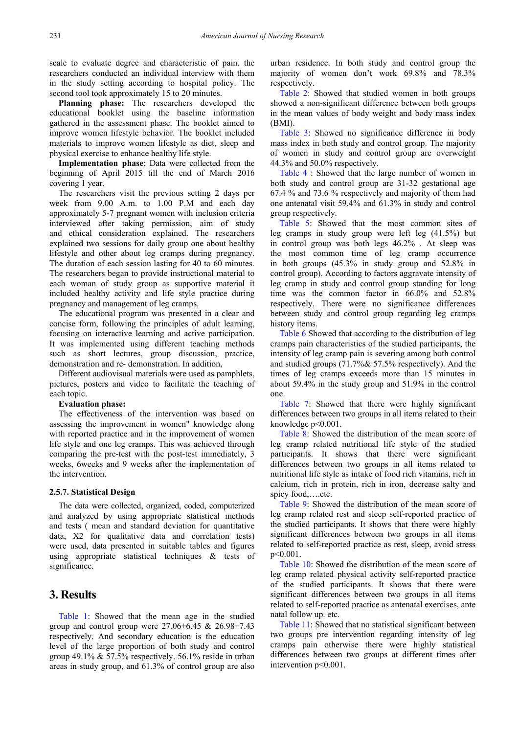scale to evaluate degree and characteristic of pain. the researchers conducted an individual interview with them in the study setting according to hospital policy. The second tool took approximately 15 to 20 minutes.

**Planning phase:** The researchers developed the educational booklet using the baseline information gathered in the assessment phase. The booklet aimed to improve women lifestyle behavior. The booklet included materials to improve women lifestyle as diet, sleep and physical exercise to enhance healthy life style.

**Implementation phase**: Data were collected from the beginning of April 2015 till the end of March 2016 covering 1 year.

The researchers visit the previous setting 2 days per week from 9.00 A.m. to 1.00 P.M and each day approximately 5-7 pregnant women with inclusion criteria interviewed after taking permission, aim of study and ethical consideration explained. The researchers explained two sessions for daily group one about healthy lifestyle and other about leg cramps during pregnancy. The duration of each session lasting for 40 to 60 minutes. The researchers began to provide instructional material to each woman of study group as supportive material it included healthy activity and life style practice during pregnancy and management of leg cramps.

The educational program was presented in a clear and concise form, following the principles of adult learning, focusing on interactive learning and active participation. It was implemented using different teaching methods such as short lectures, group discussion, practice, demonstration and re- demonstration. In addition,

Different audiovisual materials were used as pamphlets, pictures, posters and video to facilitate the teaching of each topic.

#### **Evaluation phase:**

The effectiveness of the intervention was based on assessing the improvement in women" knowledge along with reported practice and in the improvement of women life style and one leg cramps. This was achieved through comparing the pre-test with the post-test immediately, 3 weeks, 6weeks and 9 weeks after the implementation of the intervention.

### **2.5.7. Statistical Design**

The data were collected, organized, coded, computerized and analyzed by using appropriate statistical methods and tests ( mean and standard deviation for quantitative data, X2 for qualitative data and correlation tests) were used, data presented in suitable tables and figures using appropriate statistical techniques & tests of significance.

# **3. Results**

[Table 1:](#page-4-0) Showed that the mean age in the studied group and control group were  $27.06\pm6.45$  &  $26.98\pm7.43$ respectively. And secondary education is the education level of the large proportion of both study and control group 49.1% & 57.5% respectively. 56.1% reside in urban areas in study group, and 61.3% of control group are also urban residence. In both study and control group the majority of women don't work 69.8% and 78.3% respectively.

[Table 2:](#page-4-1) Showed that studied women in both groups showed a non-significant difference between both groups in the mean values of body weight and body mass index (BMI).

[Table 3:](#page-4-2) Showed no significance difference in body mass index in both study and control group. The majority of women in study and control group are overweight 44.3% and 50.0% respectively.

[Table 4](#page-4-3) : Showed that the large number of women in both study and control group are 31-32 gestational age 67.4 % and 73.6 % respectively and majority of them had one antenatal visit 59.4% and 61.3% in study and control group respectively.

[Table 5:](#page-4-4) Showed that the most common sites of leg cramps in study group were left leg (41.5%) but in control group was both legs 46.2% . At sleep was the most common time of leg cramp occurrence in both groups (45.3% in study group and 52.8% in control group). According to factors aggravate intensity of leg cramp in study and control group standing for long time was the common factor in 66.0% and 52.8% respectively. There were no significance differences between study and control group regarding leg cramps history items.

[Table 6](#page-5-0) Showed that according to the distribution of leg cramps pain characteristics of the studied participants, the intensity of leg cramp pain is severing among both control and studied groups (71.7%& 57.5% respectively). And the times of leg cramps exceeds more than 15 minutes in about 59.4% in the study group and 51.9% in the control one.

[Table 7:](#page-5-1) Showed that there were highly significant differences between two groups in all items related to their knowledge p<0.001.

[Table 8:](#page-5-2) Showed the distribution of the mean score of leg cramp related nutritional life style of the studied participants. It shows that there were significant differences between two groups in all items related to nutritional life style as intake of food rich vitamins, rich in calcium, rich in protein, rich in iron, decrease salty and spicy food,....etc.

[Table 9:](#page-5-3) Showed the distribution of the mean score of leg cramp related rest and sleep self-reported practice of the studied participants. It shows that there were highly significant differences between two groups in all items related to self-reported practice as rest, sleep, avoid stress p<0.001.

[Table 10:](#page-5-4) Showed the distribution of the mean score of leg cramp related physical activity self-reported practice of the studied participants. It shows that there were significant differences between two groups in all items related to self-reported practice as antenatal exercises, ante natal follow up. etc.

[Table 11:](#page-6-0) Showed that no statistical significant between two groups pre intervention regarding intensity of leg cramps pain otherwise there were highly statistical differences between two groups at different times after intervention p<0.001.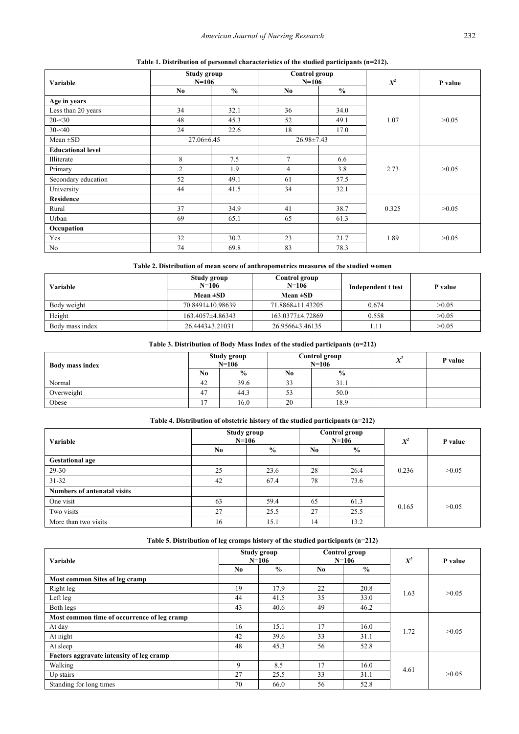| Table 1. Distribution of personnel characteristics of the studied participants (n=212). |  |
|-----------------------------------------------------------------------------------------|--|
|                                                                                         |  |

<span id="page-4-0"></span>

| <b>Variable</b>          | Study group<br>$N=106$ |               | Control group<br>$N=106$ |               | $X^2$ | P value |  |
|--------------------------|------------------------|---------------|--------------------------|---------------|-------|---------|--|
|                          | N <sub>0</sub>         | $\frac{0}{0}$ | No.                      | $\frac{0}{0}$ |       |         |  |
| Age in years             |                        |               |                          |               |       |         |  |
| Less than 20 years       | 34                     | 32.1          | 36                       | 34.0          |       |         |  |
| $20 - 30$                | 48                     | 45.3          | 52                       | 49.1          | 1.07  | >0.05   |  |
| $30 - 40$                | 24                     | 22.6          | 18                       | 17.0          |       |         |  |
| Mean $\pm SD$            | $27.06 \pm 6.45$       |               | $26.98 \pm 7.43$         |               |       |         |  |
| <b>Educational level</b> |                        |               |                          |               |       |         |  |
| Illiterate               | 8                      | 7.5           | $\overline{7}$           | 6.6           |       |         |  |
| Primary                  | $\overline{2}$         | 1.9           | 4                        | 3.8           | 2.73  | >0.05   |  |
| Secondary education      | 52                     | 49.1          | 61                       | 57.5          |       |         |  |
| University               | 44                     | 41.5          | 34                       | 32.1          |       |         |  |
| <b>Residence</b>         |                        |               |                          |               |       |         |  |
| Rural                    | 37                     | 34.9          | 41                       | 38.7          | 0.325 | >0.05   |  |
| Urban                    | 69                     | 65.1          | 65                       | 61.3          |       |         |  |
| Occupation               |                        |               |                          |               |       |         |  |
| Yes                      | 32                     | 30.2          | 23                       | 21.7          | 1.89  | >0.05   |  |
| No                       | 74                     | 69.8          | 83                       | 78.3          |       |         |  |

# **Table 2. Distribution of mean score of anthropometrics measures of the studied women**

<span id="page-4-1"></span>

| Variable        | Study group<br>$N=106$ | Control group<br>$N=106$ | Independent t test | P value |  |  |
|-----------------|------------------------|--------------------------|--------------------|---------|--|--|
|                 | Mean $\pm SD$          | Mean $\pm SD$            |                    |         |  |  |
| Body weight     | 70.8491±10.98639       | 71.8868±11.43205         | 0.674              | >0.05   |  |  |
| Height          | $163.4057\pm4.86343$   | 163.0377±4.72869         | 0.558              | >0.05   |  |  |
| Body mass index | $26.4443 \pm 3.21031$  | 26.9566±3.46135          |                    | >0.05   |  |  |

### **Table 3. Distribution of Body Mass Index of the studied participants (n=212)**

<span id="page-4-2"></span>

| <b>Body mass index</b> |    | Study group<br>$N=106$ |    | Control group<br>$N=106$ | $V^2$<br>◢ | P value |
|------------------------|----|------------------------|----|--------------------------|------------|---------|
|                        | No | $\frac{6}{6}$          | No | $\frac{0}{0}$            |            |         |
| Normal                 | 42 | 39.6                   | 33 | 31.1                     |            |         |
| Overweight             | 47 | 44.3                   | 53 | 50.0                     |            |         |
| Obese                  |    | 16.0                   | 20 | 18.9                     |            |         |

#### **Table 4. Distribution of obstetric history of the studied participants (n=212)**

<span id="page-4-3"></span>

| Variable                           | Study group<br>$N=106$ |               |    | Control group<br>$N=106$ | $X^2$ | P value |  |
|------------------------------------|------------------------|---------------|----|--------------------------|-------|---------|--|
|                                    | No                     | $\frac{0}{0}$ | No | $\frac{0}{0}$            |       |         |  |
| <b>Gestational age</b>             |                        |               |    |                          |       |         |  |
| $29-30$                            | 25                     | 23.6          | 28 | 26.4                     | 0.236 | >0.05   |  |
| $31 - 32$                          | 42                     | 67.4          | 78 | 73.6                     |       |         |  |
| <b>Numbers of antenatal visits</b> |                        |               |    |                          |       |         |  |
| One visit                          | 63                     | 59.4          | 65 | 61.3                     | 0.165 | >0.05   |  |
| Two visits                         | 27                     | 25.5          | 27 | 25.5                     |       |         |  |
| More than two visits               | 16                     | 15.1          | 14 | 13.2                     |       |         |  |

# **Table 5. Distribution of leg cramps history of the studied participants (n=212)**

<span id="page-4-4"></span>

| Variable                                    |     | Study group<br>$N=106$ |     | Control group<br>$N=106$ | $X^2$ | P value |
|---------------------------------------------|-----|------------------------|-----|--------------------------|-------|---------|
|                                             | No. | $\frac{6}{9}$          | No. | $\frac{6}{9}$            |       |         |
| Most common Sites of leg cramp              |     |                        |     |                          |       |         |
| Right leg                                   | 19  | 17.9                   | 22  | 20.8                     | 1.63  | >0.05   |
| Left leg                                    | 44  | 41.5                   | 35  | 33.0                     |       |         |
| Both legs                                   | 43  | 40.6                   | 49  | 46.2                     |       |         |
| Most common time of occurrence of leg cramp |     |                        |     |                          |       |         |
| At day                                      | 16  | 15.1                   | 17  | 16.0                     | 1.72  | >0.05   |
| At night                                    | 42  | 39.6                   | 33  | 31.1                     |       |         |
| At sleep                                    | 48  | 45.3                   | 56  | 52.8                     |       |         |
| Factors aggravate intensity of leg cramp    |     |                        |     |                          |       |         |
| Walking                                     | 9   | 8.5                    | 17  | 16.0                     | 4.61  |         |
| Up stairs                                   | 27  | 25.5                   | 33  | 31.1                     |       | >0.05   |
| Standing for long times                     | 70  | 66.0                   | 56  | 52.8                     |       |         |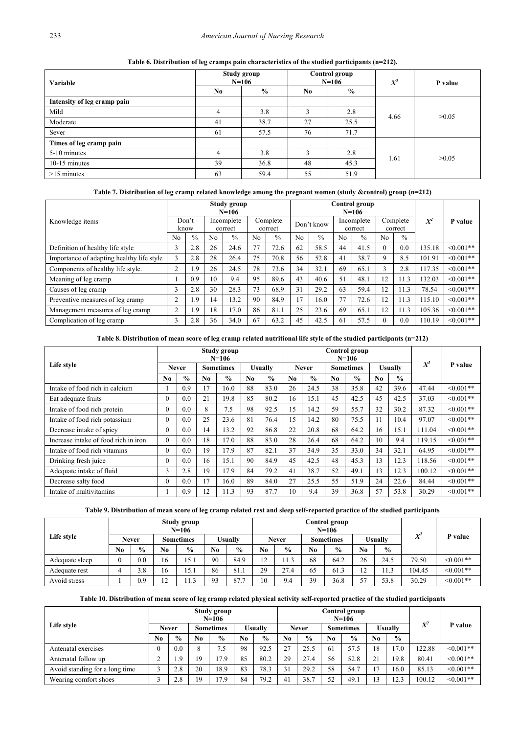<span id="page-5-0"></span>

| Variable                    |                | Study group<br>$N=106$ |                | Control group<br>$N=106$ | $X^2$ | P value |
|-----------------------------|----------------|------------------------|----------------|--------------------------|-------|---------|
|                             | N <sub>0</sub> | $\frac{6}{9}$          | N <sub>0</sub> | $\frac{6}{9}$            |       |         |
| Intensity of leg cramp pain |                |                        |                |                          |       |         |
| Mild                        | 4              | 3.8                    | ◠              | 2.8                      | 4.66  | >0.05   |
| Moderate                    | 41             | 38.7                   | 27             | 25.5                     |       |         |
| Sever                       | 61             | 57.5                   | 76             | 71.7                     |       |         |
| Times of leg cramp pain     |                |                        |                |                          |       |         |
| 5-10 minutes                | 4              | 3.8                    | 3              | 2.8                      | 1.61  | >0.05   |
| 10-15 minutes               | 39             | 36.8                   | 48             | 45.3                     |       |         |
| $>15$ minutes               | 63             | 59.4                   | 55             | 51.9                     |       |         |

**Table 6. Distribution of leg cramps pain characteristics of the studied participants (n=212).**

# **Table 7. Distribution of leg cramp related knowledge among the pregnant women (study &control) group (n=212)**

<span id="page-5-1"></span>

|                                           | Study group<br>$N=106$ |               |                       |               |                |                     |                |               |     | Control group<br>$N=106$ |          |                     |        |                 |
|-------------------------------------------|------------------------|---------------|-----------------------|---------------|----------------|---------------------|----------------|---------------|-----|--------------------------|----------|---------------------|--------|-----------------|
| Knowledge items                           | Don't<br>know          |               | Incomplete<br>correct |               |                | Complete<br>correct |                | Don't know    |     | Incomplete<br>correct    |          | Complete<br>correct | $X^2$  | P value         |
|                                           | N <sub>0</sub>         | $\frac{0}{0}$ | N <sub>0</sub>        | $\frac{0}{0}$ | N <sub>o</sub> | $\frac{0}{0}$       | N <sub>o</sub> | $\frac{0}{0}$ | No. | $\frac{0}{0}$            | No       | $\frac{0}{0}$       |        |                 |
| Definition of healthy life style          | 3                      | 2.8           | 26                    | 24.6          | 77             | 72.6                | 62             | 58.5          | 44  | 41.5                     | $\theta$ | 0.0                 | 135.18 | $< 0.001$ **    |
| Importance of adapting healthy life style | 3                      | 2.8           | 28                    | 26.4          | 75             | 70.8                | 56             | 52.8          | 41  | 38.7                     | 9        | 8.5                 | 101.91 | $<0.001**$      |
| Components of healthy life style.         | 2                      | 1.9           | 26                    | 24.5          | 78             | 73.6                | 34             | 32.1          | 69  | 65.1                     | 3        | 2.8                 | 117.35 | $\leq 0.001$ ** |
| Meaning of leg cramp                      |                        | 0.9           | $\overline{0}$        | 9.4           | 95             | 89.6                | 43             | 40.6          | 51  | 48.1                     | 12       | 11.3                | 132.03 | $< 0.001$ **    |
| Causes of leg cramp                       | 3                      | 2.8           | 30                    | 28.3          | 73             | 68.9                | 31             | 29.2          | 63  | 59.4                     | 12       | 11.3                | 78.54  | $< 0.001$ **    |
| Preventive measures of leg cramp          | $\overline{2}$         | 1.9           | $\overline{4}$        | 13.2          | 90             | 84.9                | 17             | 16.0          | 77  | 72.6                     | 12       | 11.3                | 115.10 | $<0.001**$      |
| Management measures of leg cramp          | $\overline{2}$         | 1.9           | 8                     | 17.0          | 86             | 81.1                | 25             | 23.6          | 69  | 65.1                     | 12       | 11.3                | 105.36 | $< 0.001$ **    |
| Complication of leg cramp                 | 3                      | 2.8           | 36                    | 34.0          | 67             | 63.2                | 45             | 42.5          | 61  | 57.5                     | $\theta$ | 0.0                 | 110.19 | $< 0.001$ **    |

# **Table 8. Distribution of mean score of leg cramp related nutritional life style of the studied participants (n=212)**

<span id="page-5-2"></span>

|                                      | Study group<br>$N=106$ |               |                  |               |     |               |     |               |                  | Control group<br>$N=106$ |                |               |        |                 |
|--------------------------------------|------------------------|---------------|------------------|---------------|-----|---------------|-----|---------------|------------------|--------------------------|----------------|---------------|--------|-----------------|
| Life style                           | <b>Never</b>           |               | <b>Sometimes</b> |               |     | Usually       |     | <b>Never</b>  | <b>Sometimes</b> |                          | <b>Usually</b> |               | $X^2$  | P value         |
|                                      | N <sub>0</sub>         | $\frac{0}{0}$ | No.              | $\frac{0}{0}$ | No. | $\frac{6}{6}$ | No. | $\frac{6}{6}$ | No               | $\frac{0}{0}$            | No.            | $\frac{0}{0}$ |        |                 |
| Intake of food rich in calcium       |                        | 0.9           | 17               | 16.0          | 88  | 83.0          | 26  | 24.5          | 38               | 35.8                     | 42             | 39.6          | 47.44  | $< 0.001$ **    |
| Eat adequate fruits                  | $\theta$               | 0.0           | 21               | 19.8          | 85  | 80.2          | 16  | 15.1          | 45               | 42.5                     | 45             | 42.5          | 37.03  | $< 0.001**$     |
| Intake of food rich protein          | $\theta$               | 0.0           | 8                | 7.5           | 98  | 92.5          | 15  | 14.2          | 59               | 55.7                     | 32             | 30.2          | 87.32  | $\leq 0.001**$  |
| Intake of food rich potassium        | $\theta$               | 0.0           | 25               | 23.6          | 81  | 76.4          | 15  | 14.2          | 80               | 75.5                     | 11             | 10.4          | 97.07  | $< 0.001**$     |
| Decrease intake of spicy             | 0                      | 0.0           | 14               | 13.2          | 92  | 86.8          | 22  | 20.8          | 68               | 64.2                     | 16             | 15.1          | 111.04 | $< 0.001**$     |
| Increase intake of food rich in iron | $\theta$               | 0.0           | 18               | 17.0          | 88  | 83.0          | 28  | 26.4          | 68               | 64.2                     | 10             | 9.4           | 119.15 | $\leq 0.001**$  |
| Intake of food rich vitamins         | $\theta$               | 0.0           | 19               | 17.9          | 87  | 82.1          | 37  | 34.9          | 35               | 33.0                     | 34             | 32.1          | 64.95  | $\leq 0.001$ ** |
| Drinking fresh juice                 | $\theta$               | 0.0           | 16               | 15.1          | 90  | 84.9          | 45  | 42.5          | 48               | 45.3                     | 13             | 12.3          | 118.56 | $< 0.001**$     |
| Adequate intake of fluid             | 3                      | 2.8           | 19               | 17.9          | 84  | 79.2          | 41  | 38.7          | 52               | 49.1                     | 13             | 12.3          | 100.12 | $< 0.001$ **    |
| Decrease salty food                  | 0                      | 0.0           | 17               | 16.0          | 89  | 84.0          | 27  | 25.5          | 55               | 51.9                     | 24             | 22.6          | 84.44  | $< 0.001$ **    |
| Intake of multivitamins              |                        | 0.9           | 12               | 11.3          | 93  | 87.7          | 10  | 9.4           | 39               | 36.8                     | 57             | 53.8          | 30.29  | $< 0.001**$     |

**Table 9. Distribution of mean score of leg cramp related rest and sleep self-reported practice of the studied participants**

<span id="page-5-3"></span>

|                | Study group<br>$N=106$           |               |                    |                |                |               |                               |                  |                | Control group<br>$N=106$ |               |               |         |                |
|----------------|----------------------------------|---------------|--------------------|----------------|----------------|---------------|-------------------------------|------------------|----------------|--------------------------|---------------|---------------|---------|----------------|
| Life style     | <b>Never</b><br><b>Sometimes</b> |               |                    | <b>Usually</b> |                | <b>Never</b>  |                               | <b>Sometimes</b> |                | <b>Usually</b>           |               | $X^2$         | P value |                |
|                | N <sub>0</sub>                   | $\frac{0}{0}$ | N <sub>0</sub>     | $\frac{0}{0}$  | No             | $\frac{0}{0}$ | N <sub>0</sub>                | $\frac{0}{0}$    | N <sub>0</sub> | $\frac{0}{0}$            | No            | $\frac{0}{0}$ |         |                |
| Adequate sleep |                                  | 0.0           | 16                 | 15.1           | 90             | 84.9          | $1^{\circ}$<br>$\overline{1}$ | 11.3             | 68             | 64.2                     | 26            | 24.5          | 79.50   | $\leq 0.001**$ |
| Adequate rest  | 4                                | 3.8           | 16                 | 15.1           | 86             | 81.1          | 29                            | 27.4             | 65             | 61.3                     | $\sim$<br>- ⊥ |               | 104.45  | $\leq 0.001**$ |
| Avoid stress   |                                  | 0.9           | $1^{\wedge}$<br>14 | 11.3           | Q <sub>2</sub> | 87.7          | 10                            | 9.4              | 39             | 36.8                     | 57            | 53.8          | 30.29   | $\leq 0.001**$ |

**Table 10. Distribution of mean score of leg cramp related physical activity self-reported practice of the studied participants**

<span id="page-5-4"></span>

|                                | Study group<br>$N = 106$ |               |                  |               |                |               |                |               |                  | Control group<br>$N=106$ |                   |               |        |                |
|--------------------------------|--------------------------|---------------|------------------|---------------|----------------|---------------|----------------|---------------|------------------|--------------------------|-------------------|---------------|--------|----------------|
| Life style                     | <b>Never</b>             |               | <b>Sometimes</b> |               | <b>Usually</b> |               | <b>Never</b>   |               | <b>Sometimes</b> |                          | <b>Usually</b>    |               | $X^2$  | P value        |
|                                | N <sub>0</sub>           | $\frac{0}{0}$ | N <sub>0</sub>   | $\frac{0}{0}$ | No.            | $\frac{0}{0}$ | N <sub>0</sub> | $\frac{6}{9}$ | No.              | $\frac{6}{9}$            | N <sub>0</sub>    | $\frac{1}{2}$ |        |                |
| Antenatal exercises            |                          | 0.0           | 8                | 7.5           | 98             | 92.5          | 27             | 25.5          | 61               | 57.5                     | 18                | 17.0          | 122.88 | $< 0.001**$    |
| Antenatal follow up            |                          | .9            | 19               | 17.9          | 85             | 80.2          | 29             | 27.4          | 56               | 52.8                     | $\mathcal{L}_{1}$ | 19.8          | 80.41  | $\leq 0.001**$ |
| Avoid standing for a long time |                          | 2.8           | 20               | 18.9          | 83             | 78.3          | 31             | 29.2          | 58               | 54.7                     | $\mathbf{\tau}$   | 16.0          | 85.13  | $\leq 0.001**$ |
| Wearing comfort shoes          |                          | 2.8           | 19               | 17.9          | 84             | 79.2          | 41             | 38.7          | 52               | 49.1                     | 13                | 12.3          | 100.12 | $\leq 0.001**$ |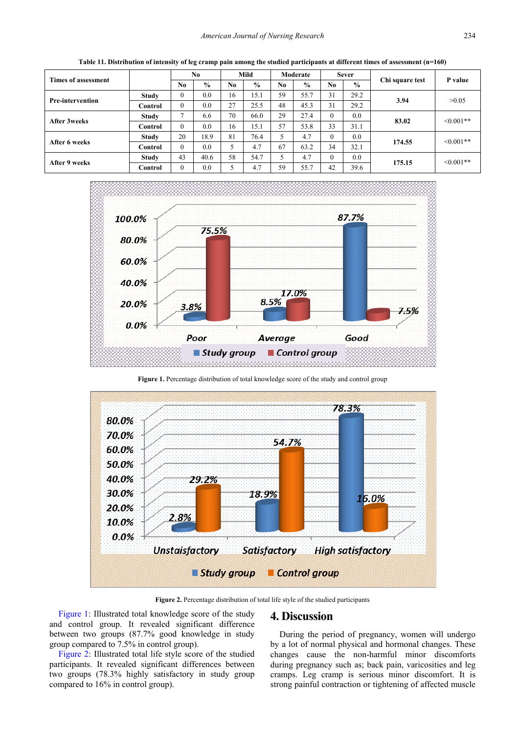<span id="page-6-0"></span>

|                         |              |              | No.           |     | Mild          |                | Moderate      |     | <b>Sever</b>  |                 | P value        |
|-------------------------|--------------|--------------|---------------|-----|---------------|----------------|---------------|-----|---------------|-----------------|----------------|
| Times of assessment     |              | No.          | $\frac{0}{0}$ | No. | $\frac{6}{9}$ | N <sub>0</sub> | $\frac{0}{0}$ | No. | $\frac{6}{9}$ | Chi square test |                |
| <b>Pre-intervention</b> | <b>Study</b> | $\Omega$     | 0.0           | 16  | 15.1          | 59             | 55.7          | 31  | 29.2          | 3.94            | >0.05          |
|                         | Control      | $\theta$     | 0.0           | 27  | 25.5          | 48             | 45.3          | 31  | 29.2          |                 |                |
| After 3weeks            | <b>Study</b> | $\mathbf{r}$ | 6.6           | 70  | 66.0          | 29             | 27.4          |     | 0.0           | 83.02           | $\leq 0.001**$ |
|                         | Control      | $\theta$     | 0.0           | 16  | 15.1          | 57             | 53.8          | 33  | 31.1          |                 |                |
| After 6 weeks           | <b>Study</b> | 20           | 18.9          | 81  | 76.4          |                | 4.7           |     | 0.0           | 174.55          | $<0.001**$     |
|                         | Control      | $\theta$     | 0.0           |     | 4.7           | 67             | 63.2          | 34  | 32.1          |                 |                |
| After 9 weeks           | <b>Study</b> | 43           | 40.6          | 58  | 54.7          | 5              | 4.7           |     | 0.0           | 175.15          | $\leq 0.001**$ |
|                         | Control      | $\theta$     | 0.0           | 5   | 4.7           | 59             | 55.7          | 42  | 39.6          |                 |                |

**Table 11. Distribution of intensity of leg cramp pain among the studied participants at different times of assessment (n=160)**

<span id="page-6-1"></span>

**Figure 1.** Percentage distribution of total knowledge score of the study and control group

<span id="page-6-2"></span>

**Figure 2.** Percentage distribution of total life style of the studied participants

[Figure 1:](#page-6-1) Illustrated total knowledge score of the study and control group. It revealed significant difference between two groups (87.7% good knowledge in study group compared to 7.5% in control group).

[Figure 2:](#page-6-2) Illustrated total life style score of the studied participants. It revealed significant differences between two groups (78.3% highly satisfactory in study group compared to 16% in control group).

# **4. Discussion**

During the period of pregnancy, women will undergo by a lot of normal physical and hormonal changes. These changes cause the non-harmful minor discomforts during pregnancy such as; back pain, varicosities and leg cramps. Leg cramp is serious minor discomfort. It is strong painful contraction or tightening of affected muscle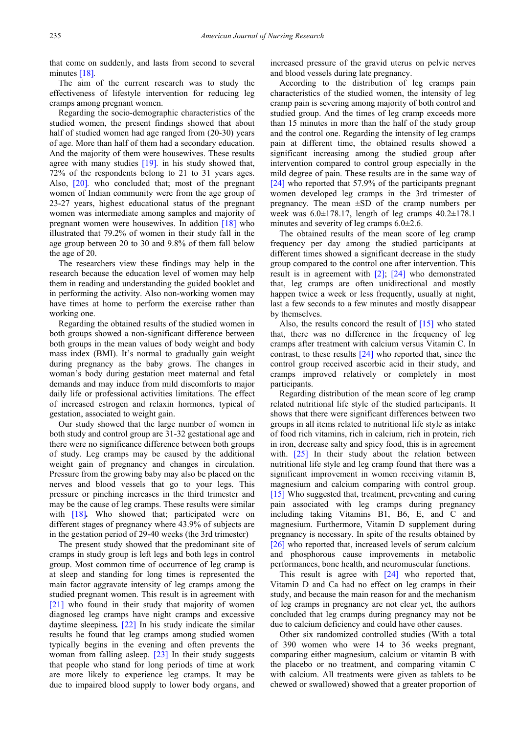that come on suddenly, and lasts from second to several minutes [\[18\]](#page-9-11)*.*

The aim of the current research was to study the effectiveness of lifestyle intervention for reducing leg cramps among pregnant women.

Regarding the socio-demographic characteristics of the studied women, the present findings showed that about half of studied women had age ranged from (20-30) years of age. More than half of them had a secondary education. And the majority of them were housewives. These results agree with many studies [\[19\]](#page-9-12)*.* in his study showed that, 72% of the respondents belong to 21 to 31 years ages. Also, [\[20\]](#page-9-13)*.* who concluded that; most of the pregnant women of Indian community were from the age group of 23-27 years, highest educational status of the pregnant women was intermediate among samples and majority of pregnant women were housewives. In addition [\[18\]](#page-9-11) who illustrated that 79.2% of women in their study fall in the age group between 20 to 30 and 9.8% of them fall below the age of 20.

The researchers view these findings may help in the research because the education level of women may help them in reading and understanding the guided booklet and in performing the activity. Also non-working women may have times at home to perform the exercise rather than working one.

Regarding the obtained results of the studied women in both groups showed a non-significant difference between both groups in the mean values of body weight and body mass index (BMI). It's normal to gradually gain weight during pregnancy as the baby grows. The changes in woman's body during gestation meet maternal and fetal demands and may induce from mild discomforts to major daily life or professional activities limitations. The effect of increased estrogen and relaxin hormones, typical of gestation, associated to weight gain.

Our study showed that the large number of women in both study and control group are 31-32 gestational age and there were no significance difference between both groups of study. Leg cramps may be caused by the additional weight gain of pregnancy and changes in circulation. Pressure from the growing baby may also be placed on the nerves and blood vessels that go to your legs. This pressure or pinching increases in the third trimester and may be the cause of leg cramps. These results were similar with [\[18\]](#page-9-11). Who showed that; participated were on different stages of pregnancy where 43.9% of subjects are in the gestation period of 29-40 weeks (the 3rd trimester)

The present study showed that the predominant site of cramps in study group is left legs and both legs in control group. Most common time of occurrence of leg cramp is at sleep and standing for long times is represented the main factor aggravate intensity of leg cramps among the studied pregnant women. This result is in agreement with [\[21\]](#page-9-14) who found in their study that majority of women diagnosed leg cramps have night cramps and excessive daytime sleepiness*.* [\[22\]](#page-9-15) In his study indicate the similar results he found that leg cramps among studied women typically begins in the evening and often prevents the woman from falling asleep. [\[23\]](#page-9-16) In their study suggests that people who stand for long periods of time at work are more likely to experience leg cramps. It may be due to impaired blood supply to lower body organs, and

increased pressure of the gravid uterus on pelvic nerves and blood vessels during late pregnancy.

According to the distribution of leg cramps pain characteristics of the studied women, the intensity of leg cramp pain is severing among majority of both control and studied group. And the times of leg cramp exceeds more than 15 minutes in more than the half of the study group and the control one. Regarding the intensity of leg cramps pain at different time, the obtained results showed a significant increasing among the studied group after intervention compared to control group especially in the mild degree of pain. These results are in the same way of [\[24\]](#page-9-17) who reported that 57.9% of the participants pregnant women developed leg cramps in the 3rd trimester of pregnancy. The mean  $\pm SD$  of the cramp numbers per week was  $6.0\pm178.17$ , length of leg cramps  $40.2\pm178.1$ minutes and severity of leg cramps 6.0±2.6.

The obtained results of the mean score of leg cramp frequency per day among the studied participants at different times showed a significant decrease in the study group compared to the control one after intervention. This result is in agreement with [\[2\];](#page-8-1) [\[24\]](#page-9-17) who demonstrated that, leg cramps are often unidirectional and mostly happen twice a week or less frequently, usually at night, last a few seconds to a few minutes and mostly disappear by themselves.

Also, the results concord the result of  $[15]$  who stated that, there was no difference in the frequency of leg cramps after treatment with calcium versus Vitamin C. In contrast, to these results [\[24\]](#page-9-17) who reported that, since the control group received ascorbic acid in their study, and cramps improved relatively or completely in most participants.

Regarding distribution of the mean score of leg cramp related nutritional life style of the studied participants. It shows that there were significant differences between two groups in all items related to nutritional life style as intake of food rich vitamins, rich in calcium, rich in protein, rich in iron, decrease salty and spicy food, this is in agreement with. [\[25\]](#page-9-18) In their study about the relation between nutritional life style and leg cramp found that there was a significant improvement in women receiving vitamin B, magnesium and calcium comparing with control group. [\[15\]](#page-9-8) Who suggested that, treatment, preventing and curing pain associated with leg cramps during pregnancy including taking Vitamins B1, B6, E, and C and magnesium. Furthermore, Vitamin D supplement during pregnancy is necessary. In spite of the results obtained by [\[26\]](#page-9-19) who reported that, increased levels of serum calcium and phosphorous cause improvements in metabolic performances, bone health, and neuromuscular functions.

This result is agree with [\[24\]](#page-9-17) who reported that, Vitamin D and Ca had no effect on leg cramps in their study, and because the main reason for and the mechanism of leg cramps in pregnancy are not clear yet, the authors concluded that leg cramps during pregnancy may not be due to calcium deficiency and could have other causes.

Other six randomized controlled studies (With a total of 390 women who were 14 to 36 weeks pregnant, comparing either magnesium, calcium or vitamin B with the placebo or no treatment, and comparing vitamin C with calcium. All treatments were given as tablets to be chewed or swallowed) showed that a greater proportion of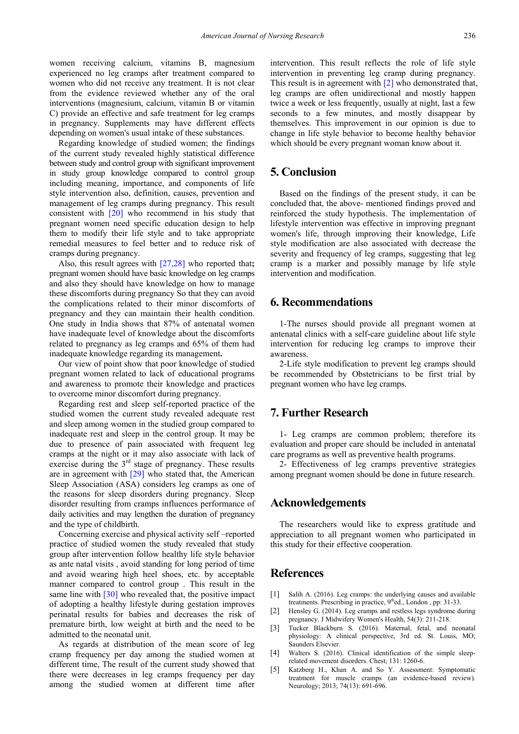women receiving calcium, vitamins B, magnesium experienced no leg cramps after treatment compared to women who did not receive any treatment. It is not clear from the evidence reviewed whether any of the oral interventions (magnesium, calcium, vitamin B or vitamin C) provide an effective and safe treatment for leg cramps in pregnancy. Supplements may have different effects depending on women's usual intake of these substances.

Regarding knowledge of studied women; the findings of the current study revealed highly statistical difference between study and control group with significant improvement in study group knowledge compared to control group including meaning, importance, and components of life style intervention also, definition, causes, prevention and management of leg cramps during pregnancy. This result consistent with [\[20\]](#page-9-13) who recommend in his study that pregnant women need specific education design to help them to modify their life style and to take appropriate remedial measures to feel better and to reduce risk of cramps during pregnancy.

Also, this result agrees with [\[27,28\]](#page-9-20) who reported that**;**  pregnant women should have basic knowledge on leg cramps and also they should have knowledge on how to manage these discomforts during pregnancy So that they can avoid the complications related to their minor discomforts of pregnancy and they can maintain their health condition. One study in India shows that 87% of antenatal women have inadequate level of knowledge about the discomforts related to pregnancy as leg cramps and 65% of them had inadequate knowledge regarding its management**.**

Our view of point show that poor knowledge of studied pregnant women related to lack of educational programs and awareness to promote their knowledge and practices to overcome minor discomfort during pregnancy.

Regarding rest and sleep self-reported practice of the studied women the current study revealed adequate rest and sleep among women in the studied group compared to inadequate rest and sleep in the control group. It may be due to presence of pain associated with frequent leg cramps at the night or it may also associate with lack of exercise during the  $3<sup>rd</sup>$  stage of pregnancy. These results are in agreement with [\[29\]](#page-9-21) who stated that, the American Sleep Association (ASA) considers leg cramps as one of the reasons for sleep disorders during pregnancy. Sleep disorder resulting from cramps influences performance of daily activities and may lengthen the duration of pregnancy and the type of childbirth.

Concerning exercise and physical activity self –reported practice of studied women the study revealed that study group after intervention follow healthy life style behavior as ante natal visits , avoid standing for long period of time and avoid wearing high heel shoes, etc. by acceptable manner compared to control group . This result in the same line with [\[30\]](#page-9-22) who revealed that, the positive impact of adopting a healthy lifestyle during gestation improves perinatal results for babies and decreases the risk of premature birth, low weight at birth and the need to be admitted to the neonatal unit.

As regards at distribution of the mean score of leg cramp frequency per day among the studied women at different time, The result of the current study showed that there were decreases in leg cramps frequency per day among the studied women at different time after intervention. This result reflects the role of life style intervention in preventing leg cramp during pregnancy. This result is in agreement with [\[2\]](#page-8-1) who demonstrated that, leg cramps are often unidirectional and mostly happen twice a week or less frequently, usually at night, last a few seconds to a few minutes, and mostly disappear by themselves. This improvement in our opinion is due to change in life style behavior to become healthy behavior which should be every pregnant woman know about it.

# **5. Conclusion**

Based on the findings of the present study, it can be concluded that, the above- mentioned findings proved and reinforced the study hypothesis. The implementation of lifestyle intervention was effective in improving pregnant women's life, through improving their knowledge, Life style modification are also associated with decrease the severity and frequency of leg cramps, suggesting that leg cramp is a marker and possibly manage by life style intervention and modification.

# **6. Recommendations**

1-The nurses should provide all pregnant women at antenatal clinics with a self-care guideline about life style intervention for reducing leg cramps to improve their awareness.

2-Life style modification to prevent leg cramps should be recommended by Obstetricians to be first trial by pregnant women who have leg cramps.

# **7. Further Research**

1- Leg cramps are common problem; therefore its evaluation and proper care should be included in antenatal care programs as well as preventive health programs.

2- Effectiveness of leg cramps preventive strategies among pregnant women should be done in future research.

# **Acknowledgements**

The researchers would like to express gratitude and appreciation to all pregnant women who participated in this study for their effective cooperation.

# **References**

- <span id="page-8-0"></span>[1] Salih A. (2016). Leg cramps: the underlying causes and available treatments. Prescribing in practice,  $9<sup>th</sup>$ ed., London, pp: 31-33.
- <span id="page-8-1"></span>[2] Hensley G. (2014). Leg cramps and restless legs syndrome during pregnancy. J Midwifery Women's Health, 54(3): 211-218.
- <span id="page-8-2"></span>[3] Tucker Blackburn S. (2016). Maternal, fetal, and neonatal physiology: A clinical perspective, 3rd ed. St. Louis, MO; Saunders Elsevier.
- <span id="page-8-3"></span>[4] Walters S. (2016). Clinical identification of the simple sleeprelated movement disorders. Chest; 131: 1260-6.
- <span id="page-8-4"></span>[5] Katzberg H., Khan A. and So Y. Assessment: Symptomatic treatment for muscle cramps (an evidence-based review). Neurology; 2013; 74(13): 691-696.